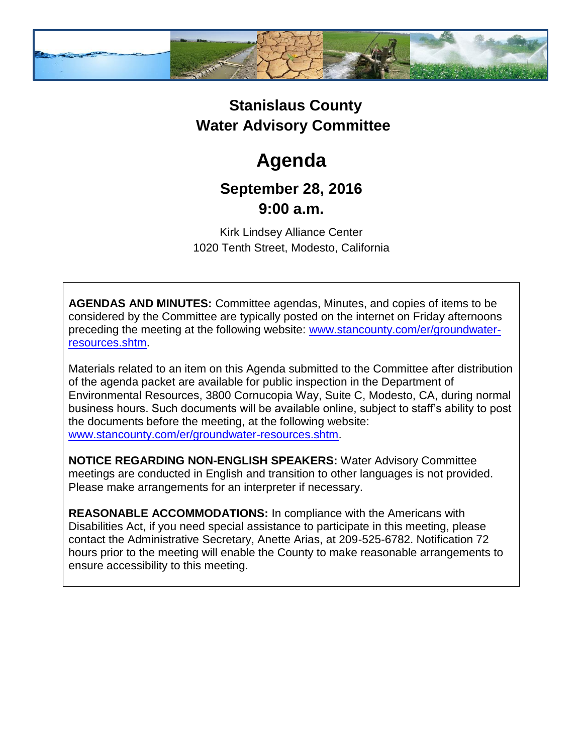

## **Stanislaus County Water Advisory Committee**

# **Agenda**

### **September 28, 2016 9:00 a.m.**

Kirk Lindsey Alliance Center 1020 Tenth Street, Modesto, California

**AGENDAS AND MINUTES:** Committee agendas, Minutes, and copies of items to be considered by the Committee are typically posted on the internet on Friday afternoons preceding the meeting at the following website: [www.stancounty.com/er/groundwater](http://www.stancounty.com/er/groundwater-resources.shtm)[resources.shtm.](http://www.stancounty.com/er/groundwater-resources.shtm)

Materials related to an item on this Agenda submitted to the Committee after distribution of the agenda packet are available for public inspection in the Department of Environmental Resources, 3800 Cornucopia Way, Suite C, Modesto, CA, during normal business hours. Such documents will be available online, subject to staff's ability to post the documents before the meeting, at the following website: [www.stancounty.com/er/groundwater-resources.shtm.](http://www.stancounty.com/er/groundwater-resources.shtm)

**NOTICE REGARDING NON-ENGLISH SPEAKERS:** Water Advisory Committee meetings are conducted in English and transition to other languages is not provided. Please make arrangements for an interpreter if necessary.

**REASONABLE ACCOMMODATIONS:** In compliance with the Americans with Disabilities Act, if you need special assistance to participate in this meeting, please contact the Administrative Secretary, Anette Arias, at 209-525-6782. Notification 72 hours prior to the meeting will enable the County to make reasonable arrangements to ensure accessibility to this meeting.